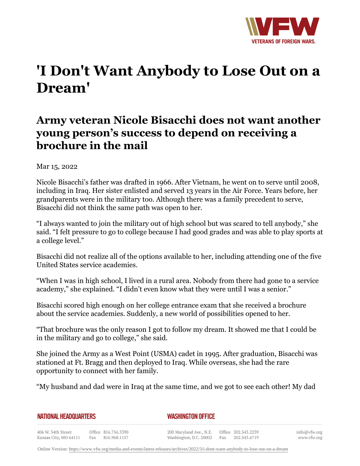

## **'I Don't Want Anybody to Lose Out on a Dream'**

## **Army veteran Nicole Bisacchi does not want another young person's success to depend on receiving a brochure in the mail**

Mar 15, 2022

Nicole Bisacchi's father was drafted in 1966. After Vietnam, he went on to serve until 2008, including in Iraq. Her sister enlisted and served 13 years in the Air Force. Years before, her grandparents were in the military too. Although there was a family precedent to serve, Bisacchi did not think the same path was open to her.

"I always wanted to join the military out of high school but was scared to tell anybody," she said. "I felt pressure to go to college because I had good grades and was able to play sports at a college level."

Bisacchi did not realize all of the options available to her, including attending one of the five United States service academies.

"When I was in high school, I lived in a rural area. Nobody from there had gone to a service academy," she explained. "I didn't even know what they were until I was a senior."

Bisacchi scored high enough on her college entrance exam that she received a brochure about the service academies. Suddenly, a new world of possibilities opened to her.

"That brochure was the only reason I got to follow my dream. It showed me that I could be in the military and go to college," she said.

She joined the Army as a West Point (USMA) cadet in 1995. After graduation, Bisacchi was stationed at Ft. Bragg and then deployed to Iraq. While overseas, she had the rare opportunity to connect with her family.

"My husband and dad were in Iraq at the same time, and we got to see each other! My dad

| <b>NATIONAL HEADQUARTERS</b> |  |
|------------------------------|--|
|------------------------------|--|

*WASHINGTON OFFICE* 

406 W. 34th Street Office 816.756.3390 Fax 816.968.1157 Kansas City, MO 64111

200 Maryland Ave., N.E. Washington, D.C. 20002 Fax

Office 202.543.2239 202.543.6719

Online Version:<https://www.vfw.org/media-and-events/latest-releases/archives/2022/3/i-dont-want-anybody-to-lose-out-on-a-dream>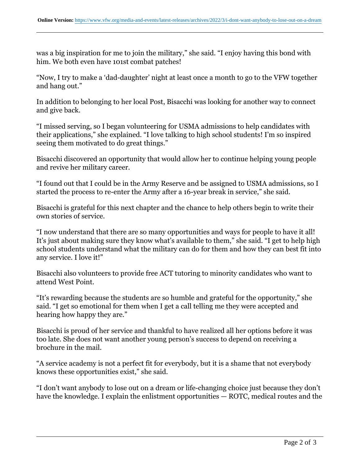was a big inspiration for me to join the military," she said. "I enjoy having this bond with him. We both even have 101st combat patches!

"Now, I try to make a 'dad-daughter' night at least once a month to go to the VFW together and hang out."

In addition to belonging to her local Post, Bisacchi was looking for another way to connect and give back.

"I missed serving, so I began volunteering for USMA admissions to help candidates with their applications," she explained. "I love talking to high school students! I'm so inspired seeing them motivated to do great things."

Bisacchi discovered an opportunity that would allow her to continue helping young people and revive her military career.

"I found out that I could be in the Army Reserve and be assigned to USMA admissions, so I started the process to re-enter the Army after a 16-year break in service," she said.

Bisacchi is grateful for this next chapter and the chance to help others begin to write their own stories of service.

"I now understand that there are so many opportunities and ways for people to have it all! It's just about making sure they know what's available to them," she said. "I get to help high school students understand what the military can do for them and how they can best fit into any service. I love it!"

Bisacchi also volunteers to provide free ACT tutoring to minority candidates who want to attend West Point.

"It's rewarding because the students are so humble and grateful for the opportunity," she said. "I get so emotional for them when I get a call telling me they were accepted and hearing how happy they are."

Bisacchi is proud of her service and thankful to have realized all her options before it was too late. She does not want another young person's success to depend on receiving a brochure in the mail.

"A service academy is not a perfect fit for everybody, but it is a shame that not everybody knows these opportunities exist," she said.

"I don't want anybody to lose out on a dream or life-changing choice just because they don't have the knowledge. I explain the enlistment opportunities — ROTC, medical routes and the